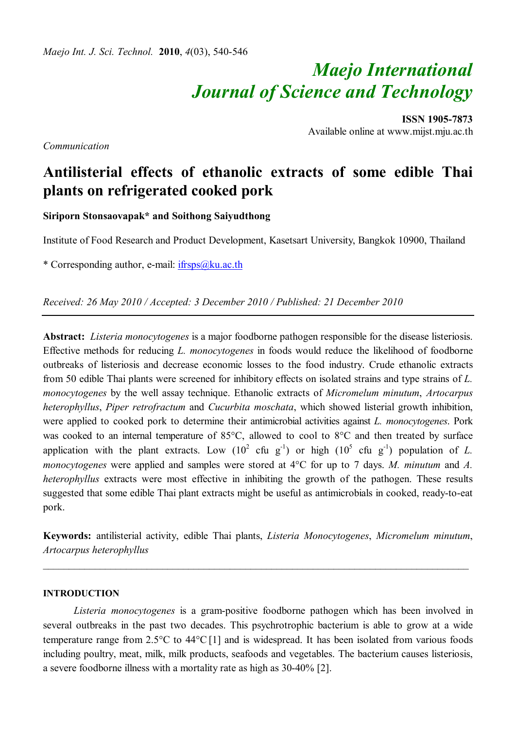*Maejo Int. J. Sci. Technol.* **2010**, *4*(03), 540-546

# *Maejo International Journal of Science and Technology*

**ISSN 1905-7873** Available online at www.mijst.mju.ac.th

*Communication*

# **Antilisterial effects of ethanolic extracts of some edible Thai plants on refrigerated cooked pork**

**Siriporn Stonsaovapak\* and Soithong Saiyudthong**

Institute of Food Research and Product Development, Kasetsart University, Bangkok 10900, Thailand

\* Corresponding author, e-mail: ifrsps@ku.ac.th

*Received: 26 May 2010 / Accepted: 3 December 2010 / Published: 21 December 2010*

**Abstract:** *Listeria monocytogenes* is a major foodborne pathogen responsible for the disease listeriosis. Effective methods for reducing *L. monocytogenes* in foods would reduce the likelihood of foodborne outbreaks of listeriosis and decrease economic losses to the food industry. Crude ethanolic extracts from 50 edible Thai plants were screened for inhibitory effects on isolated strains and type strains of *L. monocytogenes* by the well assay technique. Ethanolic extracts of *Micromelum minutum*, *Artocarpus heterophyllus*, *Piper retrofractum* and *Cucurbita moschata*, which showed listerial growth inhibition, were applied to cooked pork to determine their antimicrobial activities against *L. monocytogenes*. Pork was cooked to an internal temperature of  $85^{\circ}$ C, allowed to cool to  $8^{\circ}$ C and then treated by surface application with the plant extracts. Low  $(10^2 \text{ cfu } g^{-1})$  or high  $(10^5 \text{ cfu } g^{-1})$  population of *L*. *monocytogenes* were applied and samples were stored at  $4^{\circ}$ C for up to 7 days. *M. minutum* and *A. heterophyllus* extracts were most effective in inhibiting the growth of the pathogen. These results suggested that some edible Thai plant extracts might be useful as antimicrobials in cooked, ready-to-eat pork.

**Keywords:** antilisterial activity, edible Thai plants, *Listeria Monocytogenes*, *Micromelum minutum*, *Artocarpus heterophyllus*

*\_\_\_\_\_\_\_\_\_\_\_\_\_\_\_\_\_\_\_\_\_\_\_\_\_\_\_\_\_\_\_\_\_\_\_\_\_\_\_\_\_\_\_\_\_\_\_\_\_\_\_\_\_\_\_\_\_\_\_\_\_\_\_\_\_\_\_\_\_\_\_\_\_\_\_\_\_\_\_\_\_\_*

### **INTRODUCTION**

*Listeria monocytogenes* is a gram-positive foodborne pathogen which has been involved in several outbreaks in the past two decades. This psychrotrophic bacterium is able to grow at a wide temperature range from  $2.5^{\circ}$ C to  $44^{\circ}$ C [1] and is widespread. It has been isolated from various foods including poultry, meat, milk, milk products, seafoods and vegetables. The bacterium causes listeriosis, a severe foodborne illness with a mortality rate as high as 30-40% [2].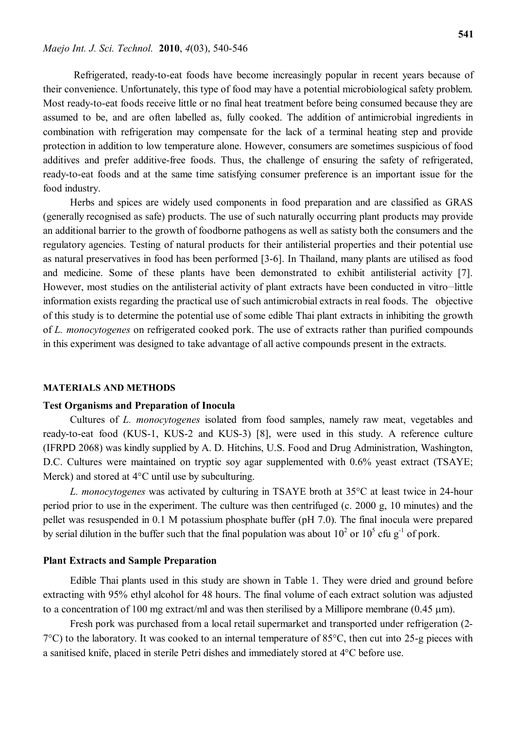Refrigerated, ready-to-eat foods have become increasingly popular in recent years because of their convenience. Unfortunately, this type of food may have a potential microbiological safety problem. Most ready-to-eat foods receive little or no final heat treatment before being consumed because they are assumed to be, and are often labelled as, fully cooked. The addition of antimicrobial ingredients in combination with refrigeration may compensate for the lack of a terminal heating step and provide protection in addition to low temperature alone. However, consumers are sometimes suspicious of food additives and prefer additive-free foods. Thus, the challenge of ensuring the safety of refrigerated, ready-to-eat foods and at the same time satisfying consumer preference is an important issue for the food industry.

 Herbs and spices are widely used components in food preparation and are classified as GRAS (generally recognised as safe) products. The use of such naturally occurring plant products may provide an additional barrier to the growth of foodborne pathogens as well as satisty both the consumers and the regulatory agencies. Testing of natural products for their antilisterial properties and their potential use as natural preservatives in food has been performed [3-6]. In Thailand, many plants are utilised as food and medicine. Some of these plants have been demonstrated to exhibit antilisterial activity [7]. However, most studies on the antilisterial activity of plant extracts have been conducted in vitro-little information exists regarding the practical use of such antimicrobial extracts in real foods. The objective of this study is to determine the potential use of some edible Thai plant extracts in inhibiting the growth of *L. monocytogenes* on refrigerated cooked pork. The use of extracts rather than purified compounds in this experiment was designed to take advantage of all active compounds present in the extracts.

## **MATERIALS AND METHODS**

### **Test Organisms and Preparation of Inocula**

Cultures of *L. monocytogenes* isolated from food samples, namely raw meat, vegetables and ready-to-eat food (KUS-1, KUS-2 and KUS-3) [8], were used in this study. A reference culture (IFRPD 2068) was kindly supplied by A. D. Hitchins, U.S. Food and Drug Administration, Washington, D.C. Cultures were maintained on tryptic soy agar supplemented with 0.6% yeast extract (TSAYE; Merck) and stored at  $4^{\circ}$ C until use by subculturing.

*L. monocytogenes* was activated by culturing in TSAYE broth at 35C at least twice in 24-hour period prior to use in the experiment. The culture was then centrifuged (c. 2000 g, 10 minutes) and the pellet was resuspended in 0.1 M potassium phosphate buffer (pH 7.0). The final inocula were prepared by serial dilution in the buffer such that the final population was about  $10^2$  or  $10^5$  cfu g<sup>-1</sup> of pork.

#### **Plant Extracts and Sample Preparation**

Edible Thai plants used in this study are shown in Table 1. They were dried and ground before extracting with 95% ethyl alcohol for 48 hours. The final volume of each extract solution was adjusted to a concentration of 100 mg extract/ml and was then sterilised by a Millipore membrane  $(0.45 \text{ }\mu\text{m})$ .

Fresh pork was purchased from a local retail supermarket and transported under refrigeration (2-  $7^{\circ}$ C) to the laboratory. It was cooked to an internal temperature of 85 $^{\circ}$ C, then cut into 25-g pieces with a sanitised knife, placed in sterile Petri dishes and immediately stored at 4C before use.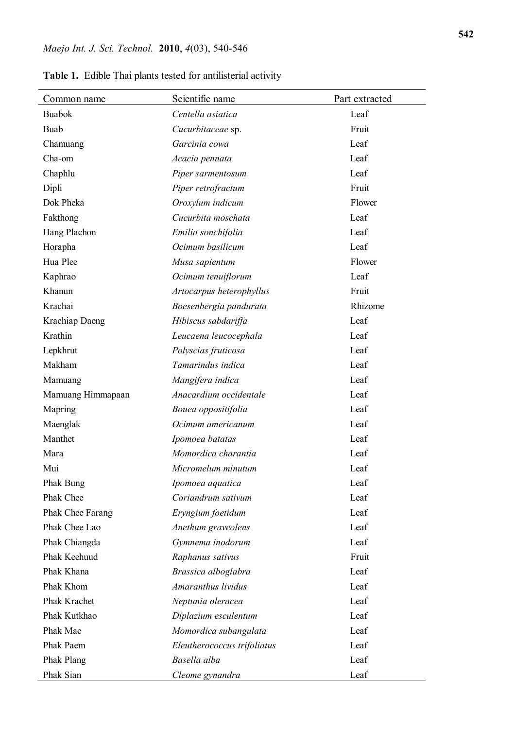| Common name       | Scientific name             | Part extracted |
|-------------------|-----------------------------|----------------|
| <b>Buabok</b>     | Centella asiatica           | Leaf           |
| <b>Buab</b>       | Cucurbitaceae sp.           | Fruit          |
| Chamuang          | Garcinia cowa               | Leaf           |
| Cha-om            | Acacia pennata              | Leaf           |
| Chaphlu           | Piper sarmentosum           | Leaf           |
| Dipli             | Piper retrofractum          | Fruit          |
| Dok Pheka         | Oroxylum indicum            | Flower         |
| Fakthong          | Cucurbita moschata          | Leaf           |
| Hang Plachon      | Emilia sonchifolia          | Leaf           |
| Horapha           | Ocimum basilicum            | Leaf           |
| Hua Plee          | Musa sapientum              | Flower         |
| Kaphrao           | Ocimum tenuiflorum          | Leaf           |
| Khanun            | Artocarpus heterophyllus    | Fruit          |
| Krachai           | Boesenbergia pandurata      | Rhizome        |
| Krachiap Daeng    | Hibiscus sabdariffa         | Leaf           |
| Krathin           | Leucaena leucocephala       | Leaf           |
| Lepkhrut          | Polyscias fruticosa         | Leaf           |
| Makham            | Tamarindus indica           | Leaf           |
| Mamuang           | Mangifera indica            | Leaf           |
| Mamuang Himmapaan | Anacardium occidentale      | Leaf           |
| Mapring           | Bouea oppositifolia         | Leaf           |
| Maenglak          | Ocimum americanum           | Leaf           |
| Manthet           | Ipomoea batatas             | Leaf           |
| Mara              | Momordica charantia         | Leaf           |
| Mui               | Micromelum minutum          | Leaf           |
| Phak Bung         | Ipomoea aquatica            | Leaf           |
| Phak Chee         | Coriandrum sativum          | Leaf           |
| Phak Chee Farang  | Eryngium foetidum           | Leaf           |
| Phak Chee Lao     | Anethum graveolens          | Leaf           |
| Phak Chiangda     | Gymnema inodorum            | Leaf           |
| Phak Keehuud      | Raphanus sativus            | Fruit          |
| Phak Khana        | Brassica alboglabra         | Leaf           |
| Phak Khom         | Amaranthus lividus          | Leaf           |
| Phak Krachet      | Neptunia oleracea           | Leaf           |
| Phak Kutkhao      | Diplazium esculentum        | Leaf           |
| Phak Mae          | Momordica subangulata       | Leaf           |
| Phak Paem         | Eleutherococcus trifoliatus | Leaf           |
| <b>Phak Plang</b> | Basella alba                | Leaf           |
| Phak Sian         | Cleome gynandra             | Leaf           |

**Table 1.** Edible Thai plants tested for antilisterial activity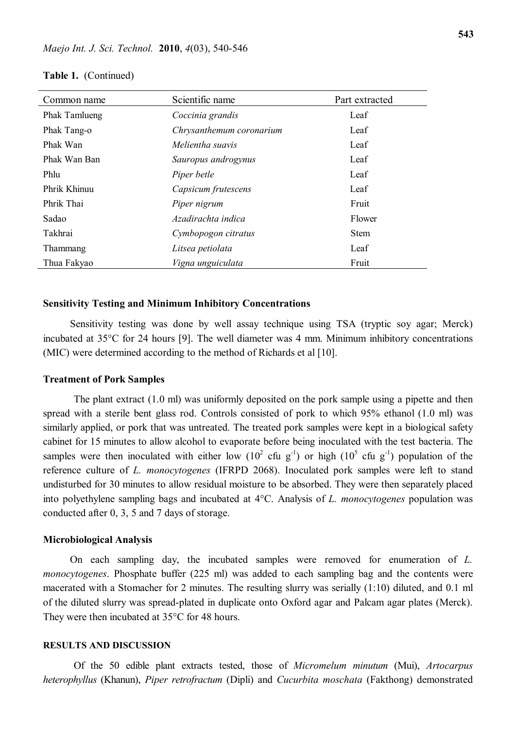| Common name          | Scientific name          | Part extracted |
|----------------------|--------------------------|----------------|
| <b>Phak Tamlueng</b> | Coccinia grandis         | Leaf           |
| Phak Tang-o          | Chrysanthemum coronarium | Leaf           |
| Phak Wan             | Melientha suavis         | Leaf           |
| Phak Wan Ban         | Sauropus androgynus      | Leaf           |
| Phlu                 | Piper betle              | Leaf           |
| Phrik Khinuu         | Capsicum frutescens      | Leaf           |
| Phrik Thai           | Piper nigrum             | Fruit          |
| Sadao                | Azadirachta indica       | Flower         |
| Takhrai              | Cymbopogon citratus      | <b>Stem</b>    |
| Thammang             | Litsea petiolata         | Leaf           |
| Thua Fakyao          | Vigna unguiculata        | Fruit          |

#### **Table 1.** (Continued)

### **Sensitivity Testing and Minimum Inhibitory Concentrations**

Sensitivity testing was done by well assay technique using TSA (tryptic soy agar; Merck) incubated at 35°C for 24 hours [9]. The well diameter was 4 mm. Minimum inhibitory concentrations (MIC) were determined according to the method of Richards et al [10].

#### **Treatment of Pork Samples**

The plant extract (1.0 ml) was uniformly deposited on the pork sample using a pipette and then spread with a sterile bent glass rod. Controls consisted of pork to which 95% ethanol (1.0 ml) was similarly applied, or pork that was untreated. The treated pork samples were kept in a biological safety cabinet for 15 minutes to allow alcohol to evaporate before being inoculated with the test bacteria. The samples were then inoculated with either low  $(10^2 \text{ cfu g}^{-1})$  or high  $(10^5 \text{ cfu g}^{-1})$  population of the reference culture of *L. monocytogenes* (IFRPD 2068). Inoculated pork samples were left to stand undisturbed for 30 minutes to allow residual moisture to be absorbed. They were then separately placed into polyethylene sampling bags and incubated at 4C. Analysis of *L. monocytogenes* population was conducted after 0, 3, 5 and 7 days of storage.

#### **Microbiological Analysis**

On each sampling day, the incubated samples were removed for enumeration of *L. monocytogenes*. Phosphate buffer (225 ml) was added to each sampling bag and the contents were macerated with a Stomacher for 2 minutes. The resulting slurry was serially (1:10) diluted, and 0.1 ml of the diluted slurry was spread-plated in duplicate onto Oxford agar and Palcam agar plates (Merck). They were then incubated at  $35^{\circ}$ C for 48 hours.

### **RESULTS AND DISCUSSION**

Of the 50 edible plant extracts tested, those of *Micromelum minutum* (Mui), *Artocarpus heterophyllus* (Khanun), *Piper retrofractum* (Dipli) and *Cucurbita moschata* (Fakthong) demonstrated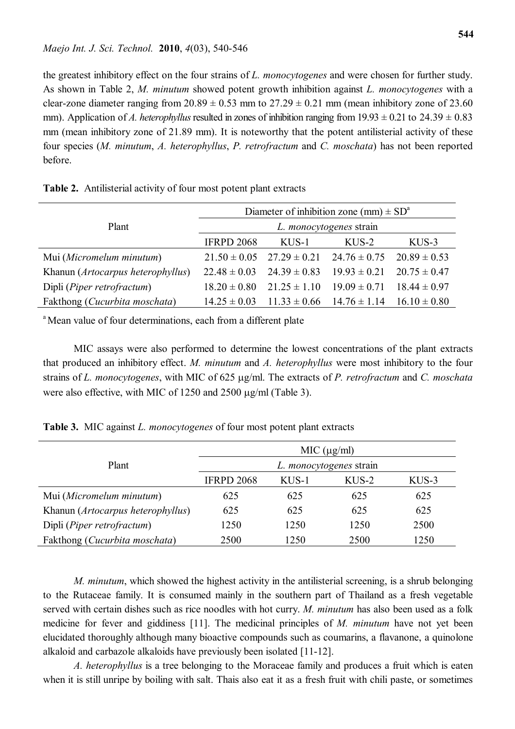the greatest inhibitory effect on the four strains of *L. monocytogenes* and were chosen for further study. As shown in Table 2, *M. minutum* showed potent growth inhibition against *L. monocytogenes* with a clear-zone diameter ranging from  $20.89 \pm 0.53$  mm to  $27.29 \pm 0.21$  mm (mean inhibitory zone of 23.60 mm). Application of *A. heterophyllus* resulted in zones of inhibition ranging from  $19.93 \pm 0.21$  to  $24.39 \pm 0.83$ mm (mean inhibitory zone of 21.89 mm). It is noteworthy that the potent antilisterial activity of these four species (*M. minutum*, *A. heterophyllus*, *P. retrofractum* and *C. moschata*) has not been reported before.

|                                     | Diameter of inhibition zone (mm) $\pm SD^a$ |                  |                                                    |                  |  |
|-------------------------------------|---------------------------------------------|------------------|----------------------------------------------------|------------------|--|
| Plant                               | L. <i>monocytogenes</i> strain              |                  |                                                    |                  |  |
|                                     | <b>IFRPD 2068</b>                           | $KUS-1$          | $KUS-2$                                            | $KUS-3$          |  |
| Mui (Micromelum minutum)            |                                             |                  | $21.50 \pm 0.05$ $27.29 \pm 0.21$ $24.76 \pm 0.75$ | $20.89 \pm 0.53$ |  |
| Khanun (Artocarpus heterophyllus)   | $22.48 \pm 0.03$                            | $24.39 \pm 0.83$ | $19.93 \pm 0.21$                                   | $20.75 \pm 0.47$ |  |
| Dipli ( <i>Piper retrofractum</i> ) | $18.20 \pm 0.80$                            | $21.25 \pm 1.10$ | $19.09 \pm 0.71$                                   | $18.44 \pm 0.97$ |  |
| Fakthong (Cucurbita moschata)       | $14.25 \pm 0.03$                            | $11.33 \pm 0.66$ | $14.76 \pm 1.14$                                   | $16.10 \pm 0.80$ |  |

| Table 2. Antilisterial activity of four most potent plant extracts |  |  |  |  |  |  |  |
|--------------------------------------------------------------------|--|--|--|--|--|--|--|
|--------------------------------------------------------------------|--|--|--|--|--|--|--|

<sup>a</sup> Mean value of four determinations, each from a different plate

MIC assays were also performed to determine the lowest concentrations of the plant extracts that produced an inhibitory effect. *M. minutum* and *A. heterophyllus* were most inhibitory to the four strains of *L. monocytogenes*, with MIC of 625 µg/ml. The extracts of *P. retrofractum* and *C. moschata* were also effective, with MIC of  $1250$  and  $2500 \mu g/ml$  (Table 3).

|  | Table 3. MIC against <i>L. monocytogenes</i> of four most potent plant extracts |  |
|--|---------------------------------------------------------------------------------|--|
|--|---------------------------------------------------------------------------------|--|

|                                        | MIC (µg/ml)                    |         |         |         |  |
|----------------------------------------|--------------------------------|---------|---------|---------|--|
| Plant                                  | L. <i>monocytogenes</i> strain |         |         |         |  |
|                                        | <b>IFRPD 2068</b>              | $KUS-1$ | $KUS-2$ | $KUS-3$ |  |
| Mui (Micromelum minutum)               | 625                            | 625     | 625     | 625     |  |
| Khanun (Artocarpus heterophyllus)      | 625                            | 625     | 625     | 625     |  |
| Dipli (Piper retrofractum)             | 1250                           | 1250    | 1250    | 2500    |  |
| Fakthong ( <i>Cucurbita moschata</i> ) | 2500                           | 1250    | 2500    | 1250    |  |

*M. minutum*, which showed the highest activity in the antilisterial screening, is a shrub belonging to the Rutaceae family. It is consumed mainly in the southern part of Thailand as a fresh vegetable served with certain dishes such as rice noodles with hot curry. *M. minutum* has also been used as a folk medicine for fever and giddiness [11]. The medicinal principles of *M. minutum* have not yet been elucidated thoroughly although many bioactive compounds such as coumarins, a flavanone, a quinolone alkaloid and carbazole alkaloids have previously been isolated [11-12].

*A. heterophyllus* is a tree belonging to the Moraceae family and produces a fruit which is eaten when it is still unripe by boiling with salt. Thais also eat it as a fresh fruit with chili paste, or sometimes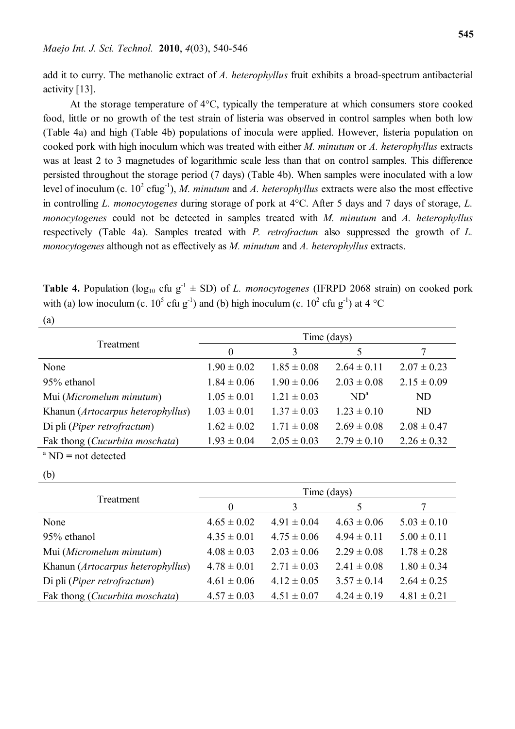add it to curry. The methanolic extract of *A. heterophyllus* fruit exhibits a broad-spectrum antibacterial activity [13].

At the storage temperature of  $4^{\circ}$ C, typically the temperature at which consumers store cooked food, little or no growth of the test strain of listeria was observed in control samples when both low (Table 4a) and high (Table 4b) populations of inocula were applied. However, listeria population on cooked pork with high inoculum which was treated with either *M. minutum* or *A. heterophyllus* extracts was at least 2 to 3 magnetudes of logarithmic scale less than that on control samples. This difference persisted throughout the storage period (7 days) (Table 4b). When samples were inoculated with a low level of inoculum (c.  $10^2$  cfug<sup>-1</sup>), *M. minutum* and *A. heterophyllus* extracts were also the most effective in controlling *L. monocytogenes* during storage of pork at 4<sup>o</sup>C. After 5 days and 7 days of storage, *L. monocytogenes* could not be detected in samples treated with *M. minutum* and *A. heterophyllus* respectively (Table 4a). Samples treated with *P. retrofractum* also suppressed the growth of *L. monocytogenes* although not as effectively as *M. minutum* and *A. heterophyllus* extracts.

**Table 4.** Population ( $log_{10}$  cfu  $g^{-1}$   $\pm$  SD) of *L. monocytogenes* (IFRPD 2068 strain) on cooked pork with (a) low inoculum (c.  $10^5$  cfu g<sup>-1</sup>) and (b) high inoculum (c.  $10^2$  cfu g<sup>-1</sup>) at 4 °C (a)

|                                      | Time (days)     |                 |                 |                 |  |
|--------------------------------------|-----------------|-----------------|-----------------|-----------------|--|
| Treatment                            | $\theta$        | 3               | 5               |                 |  |
| None                                 | $1.90 \pm 0.02$ | $1.85 \pm 0.08$ | $2.64 \pm 0.11$ | $2.07 \pm 0.23$ |  |
| 95% ethanol                          | $1.84 \pm 0.06$ | $1.90 \pm 0.06$ | $2.03 \pm 0.08$ | $2.15 \pm 0.09$ |  |
| Mui (Micromelum minutum)             | $1.05 \pm 0.01$ | $1.21 \pm 0.03$ | $ND^a$          | ND              |  |
| Khanun (Artocarpus heterophyllus)    | $1.03 \pm 0.01$ | $1.37 \pm 0.03$ | $1.23 \pm 0.10$ | <b>ND</b>       |  |
| Di pli ( <i>Piper retrofractum</i> ) | $1.62 \pm 0.02$ | $1.71 \pm 0.08$ | $2.69 \pm 0.08$ | $2.08 \pm 0.47$ |  |
| Fak thong (Cucurbita moschata)       | $1.93 \pm 0.04$ | $2.05 \pm 0.03$ | $2.79 \pm 0.10$ | $2.26 \pm 0.32$ |  |
| $^{\circ}$ ND = not detected         |                 |                 |                 |                 |  |

(b)

|                                         | Time (days)     |                 |                 |                 |  |
|-----------------------------------------|-----------------|-----------------|-----------------|-----------------|--|
| Treatment                               | $\theta$        | 3               | 5               |                 |  |
| None                                    | $4.65 \pm 0.02$ | $4.91 \pm 0.04$ | $4.63 \pm 0.06$ | $5.03 \pm 0.10$ |  |
| 95% ethanol                             | $4.35 \pm 0.01$ | $4.75 \pm 0.06$ | $4.94 \pm 0.11$ | $5.00 \pm 0.11$ |  |
| Mui (Micromelum minutum)                | $4.08 \pm 0.03$ | $2.03 \pm 0.06$ | $2.29 \pm 0.08$ | $1.78 \pm 0.28$ |  |
| Khanun (Artocarpus heterophyllus)       | $4.78 \pm 0.01$ | $2.71 \pm 0.03$ | $2.41 \pm 0.08$ | $1.80 \pm 0.34$ |  |
| Di pli ( <i>Piper retrofractum</i> )    | $4.61 \pm 0.06$ | $4.12 \pm 0.05$ | $3.57 \pm 0.14$ | $2.64 \pm 0.25$ |  |
| Fak thong ( <i>Cucurbita moschata</i> ) | $4.57 \pm 0.03$ | $4.51 \pm 0.07$ | $4.24 \pm 0.19$ | $4.81 \pm 0.21$ |  |